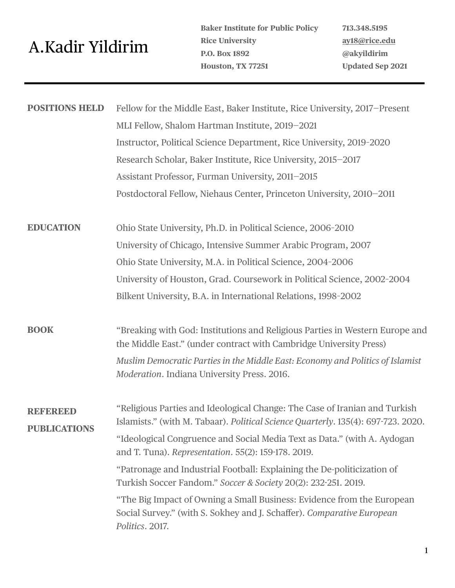## A.Kadir Yildirim

**Baker Institute for Public Policy Rice University P.O. Box 1892 Houston, TX 77251** 

**713.348.5195 [ay18@rice.edu](mailto:ay18@rice.edu) @akyildirim Updated Sep 2021**

| <b>POSITIONS HELD</b>         | Fellow for the Middle East, Baker Institute, Rice University, 2017–Present<br>MLI Fellow, Shalom Hartman Institute, 2019-2021                                           |
|-------------------------------|-------------------------------------------------------------------------------------------------------------------------------------------------------------------------|
|                               | Instructor, Political Science Department, Rice University, 2019-2020                                                                                                    |
|                               | Research Scholar, Baker Institute, Rice University, 2015-2017                                                                                                           |
|                               | Assistant Professor, Furman University, 2011-2015                                                                                                                       |
|                               | Postdoctoral Fellow, Niehaus Center, Princeton University, 2010-2011                                                                                                    |
| <b>EDUCATION</b>              | Ohio State University, Ph.D. in Political Science, 2006-2010                                                                                                            |
|                               | University of Chicago, Intensive Summer Arabic Program, 2007                                                                                                            |
|                               | Ohio State University, M.A. in Political Science, 2004-2006                                                                                                             |
|                               | University of Houston, Grad. Coursework in Political Science, 2002-2004                                                                                                 |
|                               | Bilkent University, B.A. in International Relations, 1998-2002                                                                                                          |
| <b>BOOK</b>                   | "Breaking with God: Institutions and Religious Parties in Western Europe and<br>the Middle East." (under contract with Cambridge University Press)                      |
|                               | Muslim Democratic Parties in the Middle East: Economy and Politics of Islamist<br>Moderation. Indiana University Press. 2016.                                           |
| REERED<br><b>PUBLICATIONS</b> | "Religious Parties and Ideological Change: The Case of Iranian and Turkish<br>Islamists." (with M. Tabaar). <i>Political Science Quarterly</i> . 135(4): 697-723. 2020. |
|                               | "Ideological Congruence and Social Media Text as Data." (with A. Aydogan<br>and T. Tuna). Representation. 55(2): 159-178. 2019.                                         |
|                               | "Patronage and Industrial Football: Explaining the De-politicization of<br>Turkish Soccer Fandom." Soccer & Society 20(2): 232-251. 2019.                               |
|                               | "The Big Impact of Owning a Small Business: Evidence from the European<br>Social Survey." (with S. Sokhey and J. Schaffer). Comparative European<br>Politics. 2017.     |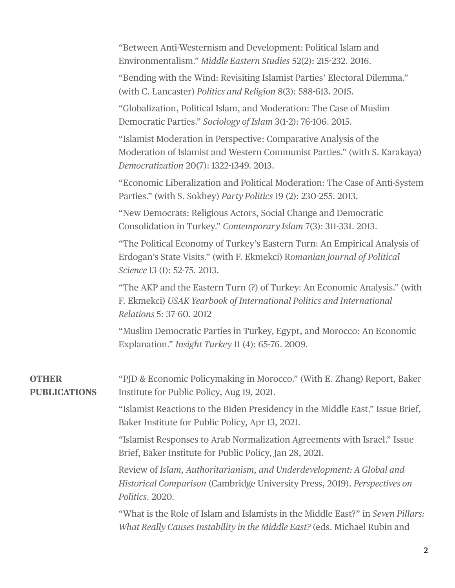|                                     | "Between Anti-Westernism and Development: Political Islam and<br>Environmentalism." Middle Eastern Studies 52(2): 215-232. 2016.<br>"Bending with the Wind: Revisiting Islamist Parties' Electoral Dilemma."<br>(with C. Lancaster) Politics and Religion 8(3): 588-613. 2015. |
|-------------------------------------|--------------------------------------------------------------------------------------------------------------------------------------------------------------------------------------------------------------------------------------------------------------------------------|
|                                     | "Globalization, Political Islam, and Moderation: The Case of Muslim<br>Democratic Parties." Sociology of Islam 3(1-2): 76-106. 2015.                                                                                                                                           |
|                                     | "Islamist Moderation in Perspective: Comparative Analysis of the<br>Moderation of Islamist and Western Communist Parties." (with S. Karakaya)<br>Democratization 20(7): 1322-1349. 2013.                                                                                       |
|                                     | "Economic Liberalization and Political Moderation: The Case of Anti-System<br>Parties." (with S. Sokhey) Party Politics 19 (2): 230-255. 2013.                                                                                                                                 |
|                                     | "New Democrats: Religious Actors, Social Change and Democratic<br>Consolidation in Turkey." Contemporary Islam 7(3): 311-331. 2013.                                                                                                                                            |
|                                     | "The Political Economy of Turkey's Eastern Turn: An Empirical Analysis of<br>Erdogan's State Visits." (with F. Ekmekci) Romanian Journal of Political<br>Science 13 (1): 52-75. 2013.                                                                                          |
|                                     | "The AKP and the Eastern Turn (?) of Turkey: An Economic Analysis." (with<br>F. Ekmekci) USAK Yearbook of International Politics and International<br>Relations 5: 37-60. 2012                                                                                                 |
|                                     | "Muslim Democratic Parties in Turkey, Egypt, and Morocco: An Economic<br>Explanation." Insight Turkey 11 (4): 65-76. 2009.                                                                                                                                                     |
| <b>OTHER</b><br><b>PUBLICATIONS</b> | "PJD & Economic Policymaking in Morocco." (With E. Zhang) Report, Baker<br>Institute for Public Policy, Aug 19, 2021.                                                                                                                                                          |
|                                     | "Islamist Reactions to the Biden Presidency in the Middle East." Issue Brief,<br>Baker Institute for Public Policy, Apr 13, 2021.                                                                                                                                              |
|                                     | "Islamist Responses to Arab Normalization Agreements with Israel." Issue<br>Brief, Baker Institute for Public Policy, Jan 28, 2021.                                                                                                                                            |
|                                     | Review of Islam, Authoritarianism, and Underdevelopment: A Global and<br>Historical Comparison (Cambridge University Press, 2019). Perspectives on<br>Politics. 2020.                                                                                                          |
|                                     | "What is the Role of Islam and Islamists in the Middle East?" in Seven Pillars:<br>What Really Causes Instability in the Middle East? (eds. Michael Rubin and                                                                                                                  |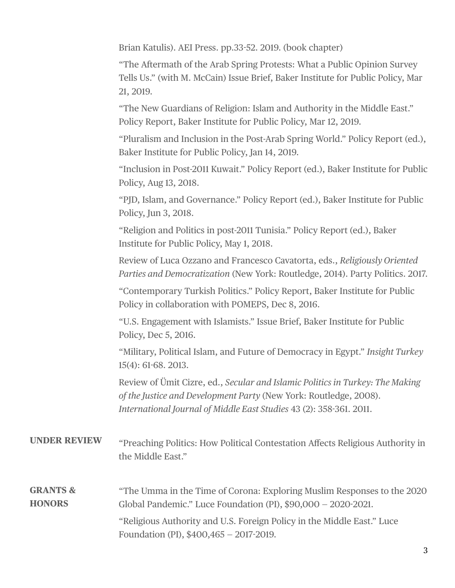Brian Katulis). AEI Press. pp.33-52. 2019. (book chapter)

"The Aftermath of the Arab Spring Protests: What a Public Opinion Survey Tells Us." (with M. McCain) Issue Brief, Baker Institute for Public Policy, Mar 21, 2019.

"The New Guardians of Religion: Islam and Authority in the Middle East." Policy Report, Baker Institute for Public Policy, Mar 12, 2019.

"Pluralism and Inclusion in the Post-Arab Spring World." Policy Report (ed.), Baker Institute for Public Policy, Jan 14, 2019.

"Inclusion in Post-2011 Kuwait." Policy Report (ed.), Baker Institute for Public Policy, Aug 13, 2018.

"PJD, Islam, and Governance." Policy Report (ed.), Baker Institute for Public Policy, Jun 3, 2018.

"Religion and Politics in post-2011 Tunisia." Policy Report (ed.), Baker Institute for Public Policy, May 1, 2018.

Review of Luca Ozzano and Francesco Cavatorta, eds., *Religiously Oriented Parties and Democratization* (New York: Routledge, 2014). Party Politics. 2017.

"Contemporary Turkish Politics." Policy Report, Baker Institute for Public Policy in collaboration with POMEPS, Dec 8, 2016.

"U.S. Engagement with Islamists." Issue Brief, Baker Institute for Public Policy, Dec 5, 2016.

"Military, Political Islam, and Future of Democracy in Egypt." *Insight Turkey* 15(4): 61-68. 2013.

Review of Ümit Cizre, ed., *Secular and Islamic Politics in Turkey: The Making of the Justice and Development Party* (New York: Routledge, 2008). *International Journal of Middle East Studies* 43 (2): 358-361. 2011.

| <b>UNDER REVIEW</b> | "Preaching Politics: How Political Contestation Affects Religious Authority in |
|---------------------|--------------------------------------------------------------------------------|
|                     | the Middle East."                                                              |
|                     |                                                                                |
|                     |                                                                                |

## "The Umma in the Time of Corona: Exploring Muslim Responses to the 2020 Global Pandemic." Luce Foundation (PI), \$90,000 — 2020-2021. "Religious Authority and U.S. Foreign Policy in the Middle East." Luce Foundation (PI), \$400,465 — 2017-2019. **GRANTS & HONORS**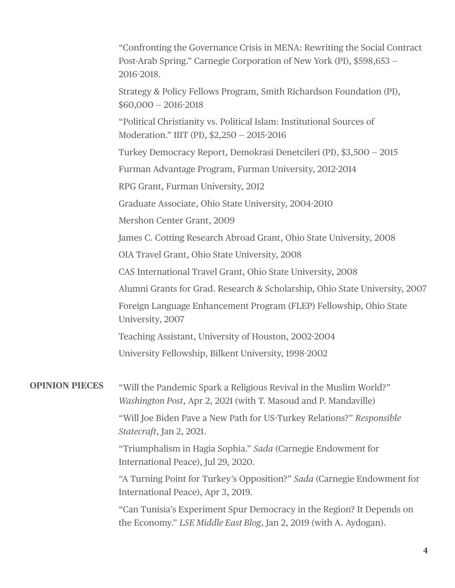|                       | "Confronting the Governance Crisis in MENA: Rewriting the Social Contract<br>Post-Arab Spring." Carnegie Corporation of New York (PI), \$598,653 -<br>2016-2018. |
|-----------------------|------------------------------------------------------------------------------------------------------------------------------------------------------------------|
|                       | Strategy & Policy Fellows Program, Smith Richardson Foundation (PI),<br>$$60,000 - 2016-2018$                                                                    |
|                       | "Political Christianity vs. Political Islam: Institutional Sources of<br>Moderation." IIIT (PI), \$2,250 - 2015-2016                                             |
|                       | Turkey Democracy Report, Demokrasi Denetcileri (PI), \$3,500 - 2015                                                                                              |
|                       | Furman Advantage Program, Furman University, 2012-2014                                                                                                           |
|                       | RPG Grant, Furman University, 2012                                                                                                                               |
|                       | Graduate Associate, Ohio State University, 2004-2010                                                                                                             |
|                       | Mershon Center Grant, 2009                                                                                                                                       |
|                       | James C. Cotting Research Abroad Grant, Ohio State University, 2008                                                                                              |
|                       | OIA Travel Grant, Ohio State University, 2008                                                                                                                    |
|                       | CAS International Travel Grant, Ohio State University, 2008                                                                                                      |
|                       | Alumni Grants for Grad. Research & Scholarship, Ohio State University, 2007                                                                                      |
|                       | Foreign Language Enhancement Program (FLEP) Fellowship, Ohio State<br>University, 2007                                                                           |
|                       | Teaching Assistant, University of Houston, 2002-2004                                                                                                             |
|                       | University Fellowship, Bilkent University, 1998-2002                                                                                                             |
| <b>OPINION PIECES</b> | "Will the Pandemic Spark a Religious Revival in the Muslim World?"<br>Washington Post, Apr 2, 2021 (with T. Masoud and P. Mandaville)                            |
|                       | "Will Joe Biden Pave a New Path for US-Turkey Relations?" Responsible<br>Statecraft, Jan 2, 2021.                                                                |
|                       | "Triumphalism in Hagia Sophia." Sada (Carnegie Endowment for<br>International Peace), Jul 29, 2020.                                                              |
|                       | "A Turning Point for Turkey's Opposition?" Sada (Carnegie Endowment for<br>International Peace), Apr 3, 2019.                                                    |
|                       | "Can Tunisia's Experiment Spur Democracy in the Region? It Depends on<br>the Economy." LSE Middle East Blog, Jan 2, 2019 (with A. Aydogan).                      |
|                       |                                                                                                                                                                  |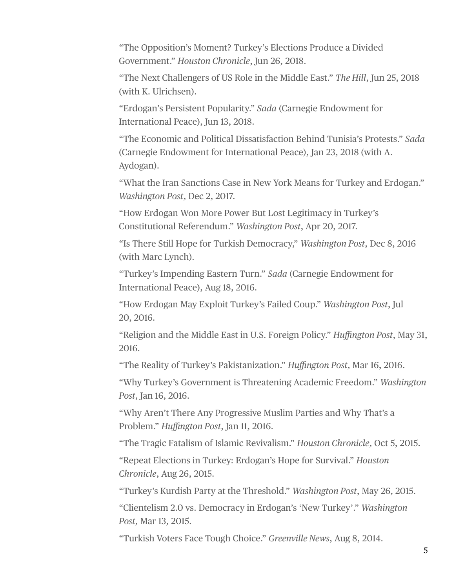"The Opposition's Moment? Turkey's Elections Produce a Divided Government." *Houston Chronicle*, Jun 26, 2018.

"The Next Challengers of US Role in the Middle East." *The Hill*, Jun 25, 2018 (with K. Ulrichsen).

"Erdogan's Persistent Popularity." *Sada* (Carnegie Endowment for International Peace), Jun 13, 2018.

"The Economic and Political Dissatisfaction Behind Tunisia's Protests." *Sada* (Carnegie Endowment for International Peace), Jan 23, 2018 (with A. Aydogan).

"What the Iran Sanctions Case in New York Means for Turkey and Erdogan." *Washington Post*, Dec 2, 2017.

"How Erdogan Won More Power But Lost Legitimacy in Turkey's Constitutional Referendum." *Washington Post*, Apr 20, 2017.

"Is There Still Hope for Turkish Democracy," *Washington Post*, Dec 8, 2016 (with Marc Lynch).

"Turkey's Impending Eastern Turn." *Sada* (Carnegie Endowment for International Peace), Aug 18, 2016.

"How Erdogan May Exploit Turkey's Failed Coup." *Washington Post*, Jul 20, 2016.

"Religion and the Middle East in U.S. Foreign Policy." *Huffington Post*, May 31, 2016.

"The Reality of Turkey's Pakistanization." *Huffington Post*, Mar 16, 2016.

"Why Turkey's Government is Threatening Academic Freedom." *Washington Post*, Jan 16, 2016.

"Why Aren't There Any Progressive Muslim Parties and Why That's a Problem." *Huffington Post*, Jan 11, 2016.

"The Tragic Fatalism of Islamic Revivalism." *Houston Chronicle*, Oct 5, 2015.

"Repeat Elections in Turkey: Erdogan's Hope for Survival." *Houston Chronicle*, Aug 26, 2015.

"Turkey's Kurdish Party at the Threshold." *Washington Post*, May 26, 2015.

"Clientelism 2.0 vs. Democracy in Erdogan's 'New Turkey'." *Washington Post*, Mar 13, 2015.

"Turkish Voters Face Tough Choice." *Greenville News*, Aug 8, 2014.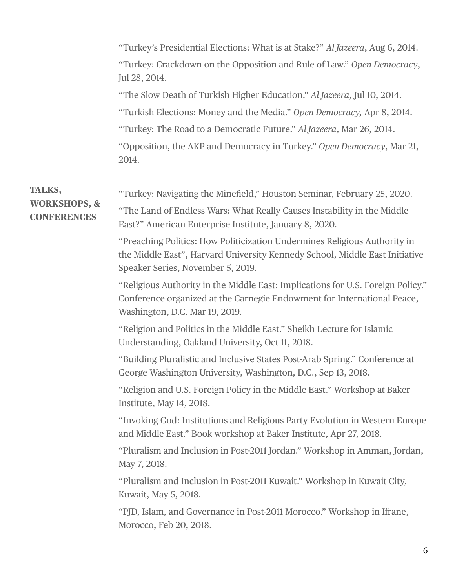"Turkey's Presidential Elections: What is at Stake?" *Al Jazeera*, Aug 6, 2014. "Turkey: Crackdown on the Opposition and Rule of Law." *Open Democracy*, Jul 28, 2014.

"The Slow Death of Turkish Higher Education." *Al Jazeera*, Jul 10, 2014. "Turkish Elections: Money and the Media." *Open Democracy,* Apr 8, 2014. "Turkey: The Road to a Democratic Future." *Al Jazeera*, Mar 26, 2014. "Opposition, the AKP and Democracy in Turkey." *Open Democracy*, Mar 21, 2014.

## **TALKS, WORKSHOPS, & CONFERENCES**

"Turkey: Navigating the Minefield," Houston Seminar, February 25, 2020. "The Land of Endless Wars: What Really Causes Instability in the Middle East?" American Enterprise Institute, January 8, 2020.

"Preaching Politics: How Politicization Undermines Religious Authority in the Middle East", Harvard University Kennedy School, Middle East Initiative Speaker Series, November 5, 2019.

"Religious Authority in the Middle East: Implications for U.S. Foreign Policy." Conference organized at the Carnegie Endowment for International Peace, Washington, D.C. Mar 19, 2019.

"Religion and Politics in the Middle East." Sheikh Lecture for Islamic Understanding, Oakland University, Oct 11, 2018.

"Building Pluralistic and Inclusive States Post-Arab Spring." Conference at George Washington University, Washington, D.C., Sep 13, 2018.

"Religion and U.S. Foreign Policy in the Middle East." Workshop at Baker Institute, May 14, 2018.

"Invoking God: Institutions and Religious Party Evolution in Western Europe and Middle East." Book workshop at Baker Institute, Apr 27, 2018.

"Pluralism and Inclusion in Post-2011 Jordan." Workshop in Amman, Jordan, May 7, 2018.

"Pluralism and Inclusion in Post-2011 Kuwait." Workshop in Kuwait City, Kuwait, May 5, 2018.

"PJD, Islam, and Governance in Post-2011 Morocco." Workshop in Ifrane, Morocco, Feb 20, 2018.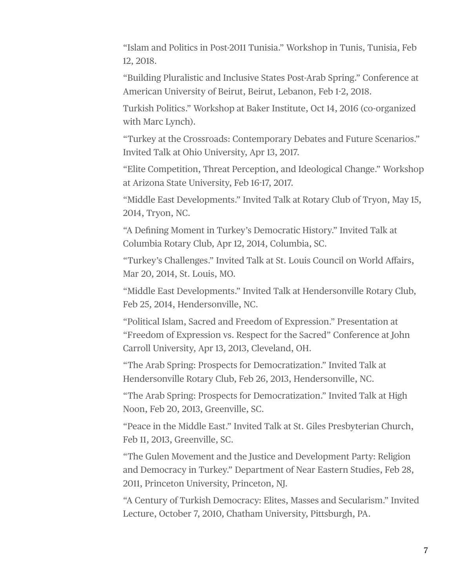"Islam and Politics in Post-2011 Tunisia." Workshop in Tunis, Tunisia, Feb 12, 2018.

"Building Pluralistic and Inclusive States Post-Arab Spring." Conference at American University of Beirut, Beirut, Lebanon, Feb 1-2, 2018.

Turkish Politics." Workshop at Baker Institute, Oct 14, 2016 (co-organized with Marc Lynch).

"Turkey at the Crossroads: Contemporary Debates and Future Scenarios." Invited Talk at Ohio University, Apr 13, 2017.

"Elite Competition, Threat Perception, and Ideological Change." Workshop at Arizona State University, Feb 16-17, 2017.

"Middle East Developments." Invited Talk at Rotary Club of Tryon, May 15, 2014, Tryon, NC.

"A Defining Moment in Turkey's Democratic History." Invited Talk at Columbia Rotary Club, Apr 12, 2014, Columbia, SC.

"Turkey's Challenges." Invited Talk at St. Louis Council on World Affairs, Mar 20, 2014, St. Louis, MO.

"Middle East Developments." Invited Talk at Hendersonville Rotary Club, Feb 25, 2014, Hendersonville, NC.

"Political Islam, Sacred and Freedom of Expression." Presentation at "Freedom of Expression vs. Respect for the Sacred" Conference at John Carroll University, Apr 13, 2013, Cleveland, OH.

"The Arab Spring: Prospects for Democratization." Invited Talk at Hendersonville Rotary Club, Feb 26, 2013, Hendersonville, NC.

"The Arab Spring: Prospects for Democratization." Invited Talk at High Noon, Feb 20, 2013, Greenville, SC.

"Peace in the Middle East." Invited Talk at St. Giles Presbyterian Church, Feb 11, 2013, Greenville, SC.

"The Gulen Movement and the Justice and Development Party: Religion and Democracy in Turkey." Department of Near Eastern Studies, Feb 28, 2011, Princeton University, Princeton, NJ.

"A Century of Turkish Democracy: Elites, Masses and Secularism." Invited Lecture, October 7, 2010, Chatham University, Pittsburgh, PA.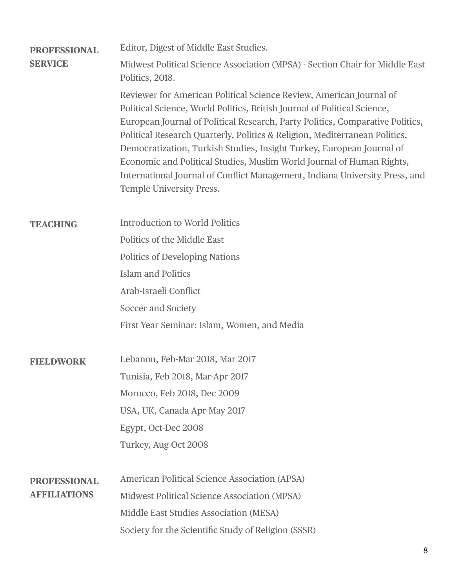| <b>PROFESSIONAL</b><br><b>SERVICE</b> | Editor, Digest of Middle East Studies.                                                                                                                                                                                                                                                                                                                                                                                                                                                                                                                                             |
|---------------------------------------|------------------------------------------------------------------------------------------------------------------------------------------------------------------------------------------------------------------------------------------------------------------------------------------------------------------------------------------------------------------------------------------------------------------------------------------------------------------------------------------------------------------------------------------------------------------------------------|
|                                       | Midwest Political Science Association (MPSA) - Section Chair for Middle East<br>Politics, 2018.                                                                                                                                                                                                                                                                                                                                                                                                                                                                                    |
|                                       | Reviewer for American Political Science Review, American Journal of<br>Political Science, World Politics, British Journal of Political Science,<br>European Journal of Political Research, Party Politics, Comparative Politics,<br>Political Research Quarterly, Politics & Religion, Mediterranean Politics,<br>Democratization, Turkish Studies, Insight Turkey, European Journal of<br>Economic and Political Studies, Muslim World Journal of Human Rights,<br>International Journal of Conflict Management, Indiana University Press, and<br><b>Temple University Press.</b> |
| <b>TEACHING</b>                       | <b>Introduction to World Politics</b>                                                                                                                                                                                                                                                                                                                                                                                                                                                                                                                                              |
|                                       | Politics of the Middle East                                                                                                                                                                                                                                                                                                                                                                                                                                                                                                                                                        |
|                                       | <b>Politics of Developing Nations</b>                                                                                                                                                                                                                                                                                                                                                                                                                                                                                                                                              |
|                                       | <b>Islam and Politics</b>                                                                                                                                                                                                                                                                                                                                                                                                                                                                                                                                                          |
|                                       | Arab-Israeli Conflict                                                                                                                                                                                                                                                                                                                                                                                                                                                                                                                                                              |
|                                       | Soccer and Society                                                                                                                                                                                                                                                                                                                                                                                                                                                                                                                                                                 |
|                                       | First Year Seminar: Islam, Women, and Media                                                                                                                                                                                                                                                                                                                                                                                                                                                                                                                                        |
| <b>FIELDWORK</b>                      | Lebanon, Feb-Mar 2018, Mar 2017                                                                                                                                                                                                                                                                                                                                                                                                                                                                                                                                                    |
|                                       | Tunisia, Feb 2018, Mar-Apr 2017                                                                                                                                                                                                                                                                                                                                                                                                                                                                                                                                                    |
|                                       | Morocco, Feb 2018, Dec 2009                                                                                                                                                                                                                                                                                                                                                                                                                                                                                                                                                        |
|                                       | USA, UK, Canada Apr-May 2017                                                                                                                                                                                                                                                                                                                                                                                                                                                                                                                                                       |
|                                       | Egypt, Oct-Dec 2008                                                                                                                                                                                                                                                                                                                                                                                                                                                                                                                                                                |
|                                       | Turkey, Aug-Oct 2008                                                                                                                                                                                                                                                                                                                                                                                                                                                                                                                                                               |
| <b>PROFESSIONAL</b>                   | <b>American Political Science Association (APSA)</b>                                                                                                                                                                                                                                                                                                                                                                                                                                                                                                                               |
| <b>AFFILIATIONS</b>                   | Midwest Political Science Association (MPSA)                                                                                                                                                                                                                                                                                                                                                                                                                                                                                                                                       |
|                                       | Middle East Studies Association (MESA)                                                                                                                                                                                                                                                                                                                                                                                                                                                                                                                                             |
|                                       | Society for the Scientific Study of Religion (SSSR)                                                                                                                                                                                                                                                                                                                                                                                                                                                                                                                                |